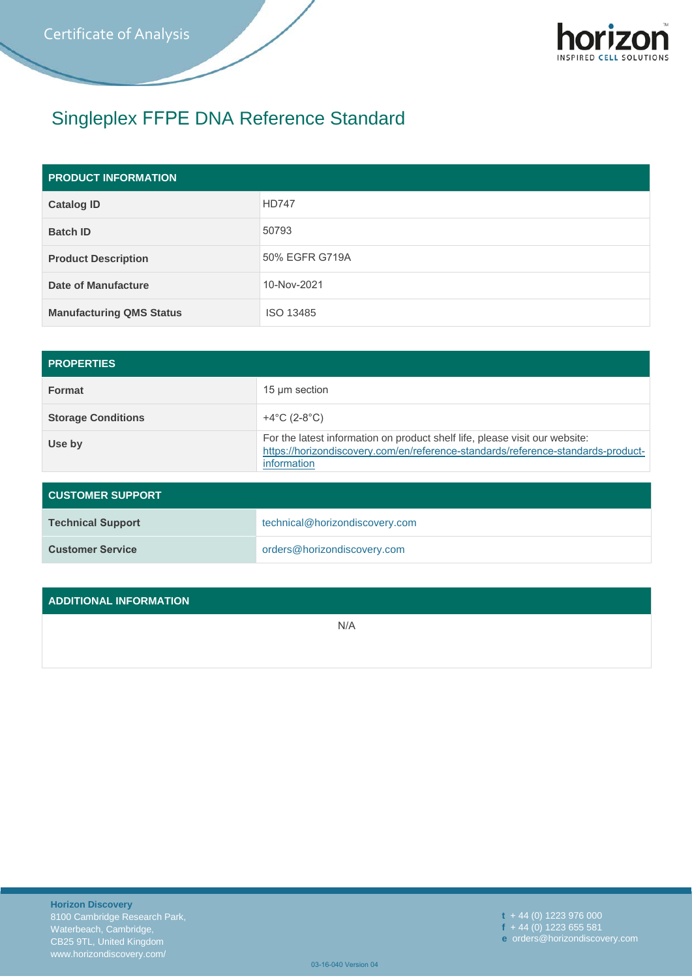

## Singleplex FFPE DNA Reference Standard

| <b>PRODUCT INFORMATION</b>      |                |
|---------------------------------|----------------|
| <b>Catalog ID</b>               | <b>HD747</b>   |
| <b>Batch ID</b>                 | 50793          |
| <b>Product Description</b>      | 50% EGFR G719A |
| Date of Manufacture             | 10-Nov-2021    |
| <b>Manufacturing QMS Status</b> | ISO 13485      |

| <b>PROPERTIES</b>         |                                                                                                                                                                                |
|---------------------------|--------------------------------------------------------------------------------------------------------------------------------------------------------------------------------|
| <b>Format</b>             | 15 µm section                                                                                                                                                                  |
| <b>Storage Conditions</b> | +4 $^{\circ}$ C (2-8 $^{\circ}$ C)                                                                                                                                             |
| Use by                    | For the latest information on product shelf life, please visit our website:<br>https://horizondiscovery.com/en/reference-standards/reference-standards-product-<br>information |

| <b>CUSTOMER SUPPORT</b>  |                                |  |
|--------------------------|--------------------------------|--|
| <b>Technical Support</b> | technical@horizondiscovery.com |  |
| <b>Customer Service</b>  | orders@horizondiscovery.com    |  |

## **ADDITIONAL INFORMATION**

N/A

**t** + 44 (0) 1223 976 000 **f** + 44 (0) 1223 655 581 **e** orders@horizondiscovery.com